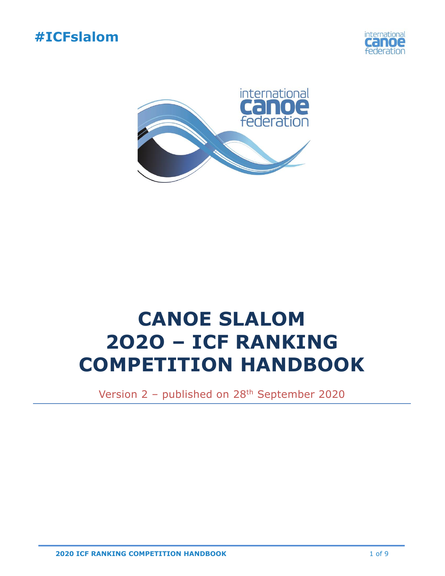





# **CANOE SLALOM 2O2O – ICF RANKING COMPETITION HANDBOOK**

Version 2 – published on 28th September 2020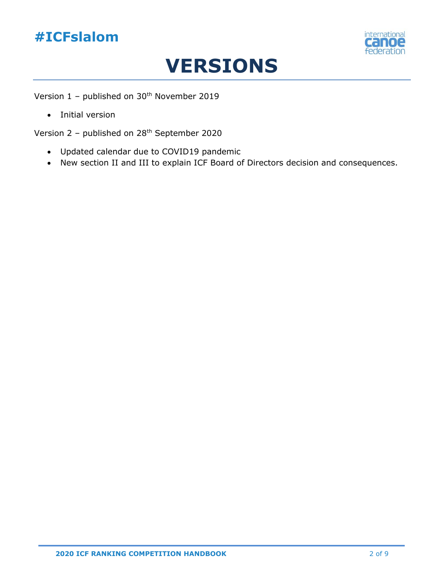## **#ICFslalom**



## **VERSIONS**

Version  $1$  – published on  $30<sup>th</sup>$  November 2019

• Initial version

Version 2 – published on 28th September 2020

- Updated calendar due to COVID19 pandemic
- New section II and III to explain ICF Board of Directors decision and consequences.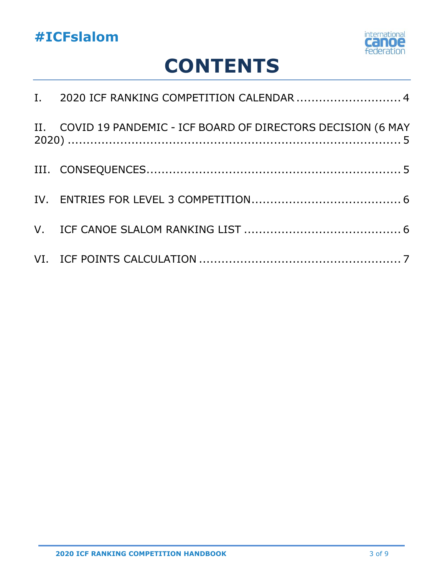

# **CONTENTS**

| I. 2020 ICF RANKING COMPETITION CALENDAR  4                    |
|----------------------------------------------------------------|
| II. COVID 19 PANDEMIC - ICF BOARD OF DIRECTORS DECISION (6 MAY |
|                                                                |
|                                                                |
|                                                                |
|                                                                |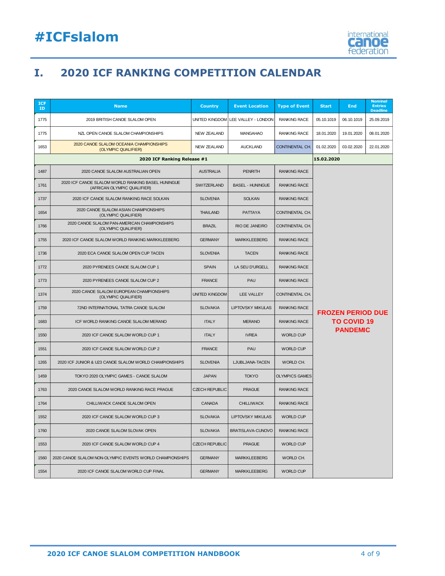

## <span id="page-3-0"></span>**I. 2020 ICF RANKING COMPETITION CALENDAR**

| <b>ICF</b><br>ID | <b>Name</b>                                                                       | <b>Country</b>        | <b>Event Location</b>    | <b>Type of Event</b>  | <b>Start</b>                                                      | End        | <b>Nominal</b><br><b>Entries</b><br><b>Deadline</b> |
|------------------|-----------------------------------------------------------------------------------|-----------------------|--------------------------|-----------------------|-------------------------------------------------------------------|------------|-----------------------------------------------------|
| 1775             | 2019 BRITISH CANOE SLALOM OPEN                                                    | UNITED KINGDOM        | LEE VALLEY - LONDON      | <b>RANKING RACE</b>   | 05.10.1019                                                        | 06.10.1019 | 25.09.2019                                          |
| 1775             | NZL OPEN CANOE SLALOM CHAMPIONSHIPS                                               | <b>NEW ZEALAND</b>    | <b>MANGAHAO</b>          | <b>RANKING RACE</b>   | 18.01.2020                                                        | 19.01.2020 | 08.01.2020                                          |
| 1653             | 2020 CANOE SLALOM OCEANIA CHAMPIONSHIPS<br>(OLYMPIC QUALIFIER)                    | <b>NEW ZEALAND</b>    | <b>AUCKLAND</b>          | CONTINENTAL CH.       | 01.02.2020                                                        | 03.02.2020 | 22.01.2020                                          |
|                  | 2020 ICF Ranking Release #1<br>15.02.2020                                         |                       |                          |                       |                                                                   |            |                                                     |
| 1487             | 2020 CANOE SLALOM AUSTRALIAN OPEN                                                 | <b>AUSTRALIA</b>      | <b>PENRITH</b>           | <b>RANKING RACE</b>   |                                                                   |            |                                                     |
| 1761             | 2020 ICF CANOE SLALOM WORLD RANKING BASEL HUNINGUE<br>(AFRICAN OLYMPIC QUALIFIER) | SWITZERLAND           | <b>BASEL - HUNINGUE</b>  | <b>RANKING RACE</b>   |                                                                   |            |                                                     |
| 1737             | 2020 ICF CANOE SLALOM RANKING RACE SOLKAN                                         | <b>SLOVENIA</b>       | <b>SOLKAN</b>            | <b>RANKING RACE</b>   |                                                                   |            |                                                     |
| 1654             | 2020 CANOE SLALOM ASIAN CHAMPIONSHIPS<br>(OLYMPIC QUALIFIER)                      | <b>THAILAND</b>       | <b>PATTAYA</b>           | CONTINENTAL CH.       |                                                                   |            |                                                     |
| 1766             | 2020 CANOE SLALOM PAN-AMERICAN CHAMPIONSHIPS<br>(OLYMPIC QUALIFIER)               | <b>BRAZIL</b>         | RIO DE JANEIRO           | CONTINENTAL CH.       |                                                                   |            |                                                     |
| 1755             | 2020 ICF CANOE SLALOM WORLD RANKING MARKKLEEBERG                                  | <b>GERMANY</b>        | <b>MARKKLEEBERG</b>      | <b>RANKING RACE</b>   | <b>FROZEN PERIOD DUE</b><br><b>TO COVID 19</b><br><b>PANDEMIC</b> |            |                                                     |
| 1736             | 2020 ECA CANOE SLALOM OPEN CUP TACEN                                              | <b>SLOVENIA</b>       | <b>TACEN</b>             | <b>RANKING RACE</b>   |                                                                   |            |                                                     |
| 1772             | 2020 PYRENEES CANOE SLALOM CUP 1                                                  | <b>SPAIN</b>          | LA SEU D'URGELL          | <b>RANKING RACE</b>   |                                                                   |            |                                                     |
| 1773             | 2020 PYRENEES CANOE SLALOM CUP 2                                                  | <b>FRANCE</b>         | PAU                      | <b>RANKING RACE</b>   |                                                                   |            |                                                     |
| 1374             | 2020 CANOE SLALOM EUROPEAN CHAMPIONSHIPS<br>(OLYMPIC QUALIFIER)                   | <b>UNITED KINGDOM</b> | LEE VALLEY               | CONTINENTAL CH.       |                                                                   |            |                                                     |
| 1759             | 72ND INTERNATIONAL TATRA CANOE SLALOM                                             | <b>SLOVAKIA</b>       | <b>LIPTOVSKY MIKULAS</b> | <b>RANKING RACE</b>   |                                                                   |            |                                                     |
| 1683             | ICF WORLD RANKING CANOE SLALOM MERANO                                             | <b>ITALY</b>          | <b>MERANO</b>            | <b>RANKING RACE</b>   |                                                                   |            |                                                     |
| 1550             | 2020 ICF CANOE SLALOM WORLD CUP 1                                                 | <b>ITALY</b>          | <b>IVREA</b>             | <b>WORLD CUP</b>      |                                                                   |            |                                                     |
| 1551             | 2020 ICF CANOE SLALOM WORLD CUP 2                                                 | <b>FRANCE</b>         | PAU                      | <b>WORLD CUP</b>      |                                                                   |            |                                                     |
| 1265             | 2020 ICF JUNIOR & U23 CANOE SLALOM WORLD CHAMPIONSHIPS                            | <b>SLOVENIA</b>       | LJUBLJANA-TACEN          | WORLD CH.             |                                                                   |            |                                                     |
| 1459             | TOKYO 2020 OLYMPIC GAMES - CANOE SLALOM                                           | <b>JAPAN</b>          | <b>TOKYO</b>             | <b>OLYMPICS GAMES</b> |                                                                   |            |                                                     |
| 1763             | 2020 CANOE SLALOM WORLD RANKING RACE PRAGUE                                       | <b>CZECH REPUBLIC</b> | <b>PRAGUE</b>            | <b>RANKING RACE</b>   |                                                                   |            |                                                     |
| 1764             | CHILLIWACK CANOE SLALOM OPEN                                                      | <b>CANADA</b>         | <b>CHILLIWACK</b>        | <b>RANKING RACE</b>   |                                                                   |            |                                                     |
| 1552             | 2020 ICF CANOE SLALOM WORLD CUP 3                                                 | <b>SLOVAKIA</b>       | <b>LIPTOVSKY MIKULAS</b> | <b>WORLD CUP</b>      |                                                                   |            |                                                     |
| 1760             | 2020 CANOE SLALOM SLOVAK OPEN                                                     | <b>SLOVAKIA</b>       | BRATISLAVA-CUNOVO        | <b>RANKING RACE</b>   |                                                                   |            |                                                     |
| 1553             | 2020 ICF CANOE SLALOM WORLD CUP 4                                                 | <b>CZECH REPUBLIC</b> | <b>PRAGUE</b>            | <b>WORLD CUP</b>      |                                                                   |            |                                                     |
| 1560             | 2020 CANOE SLALOM NON-OLYMPIC EVENTS WORLD CHAMPIONSHIPS                          | <b>GERMANY</b>        | <b>MARKKLEEBERG</b>      | WORLD CH.             |                                                                   |            |                                                     |
| 1554             | 2020 ICF CANOE SLALOM WORLD CUP FINAL                                             | <b>GERMANY</b>        | <b>MARKKLEEBERG</b>      | <b>WORLD CUP</b>      |                                                                   |            |                                                     |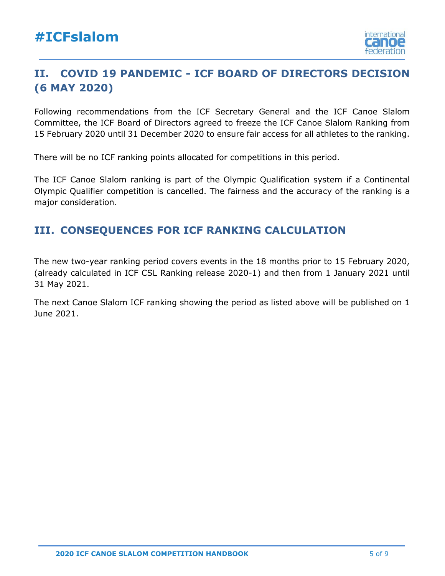

## <span id="page-4-0"></span>**II. COVID 19 PANDEMIC - ICF BOARD OF DIRECTORS DECISION (6 MAY 2020)**

Following recommendations from the ICF Secretary General and the ICF Canoe Slalom Committee, the ICF Board of Directors agreed to freeze the ICF Canoe Slalom Ranking from 15 February 2020 until 31 December 2020 to ensure fair access for all athletes to the ranking.

There will be no ICF ranking points allocated for competitions in this period.

The ICF Canoe Slalom ranking is part of the Olympic Qualification system if a Continental Olympic Qualifier competition is cancelled. The fairness and the accuracy of the ranking is a major consideration.

## <span id="page-4-1"></span>**III. CONSEQUENCES FOR ICF RANKING CALCULATION**

The new two-year ranking period covers events in the 18 months prior to 15 February 2020, (already calculated in ICF CSL Ranking release 2020-1) and then from 1 January 2021 until 31 May 2021.

The next Canoe Slalom ICF ranking showing the period as listed above will be published on 1 June 2021.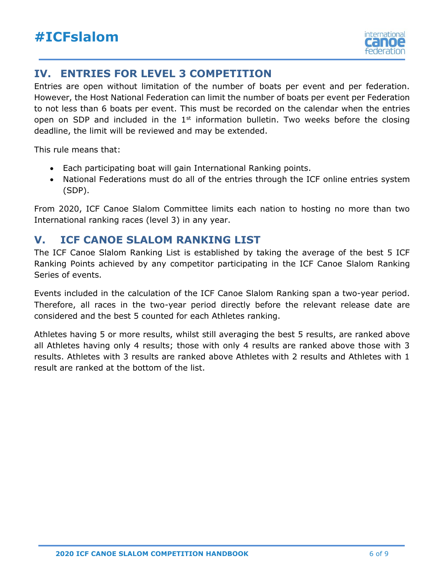

## <span id="page-5-0"></span>**IV. ENTRIES FOR LEVEL 3 COMPETITION**

Entries are open without limitation of the number of boats per event and per federation. However, the Host National Federation can limit the number of boats per event per Federation to not less than 6 boats per event. This must be recorded on the calendar when the entries open on SDP and included in the  $1<sup>st</sup>$  information bulletin. Two weeks before the closing deadline, the limit will be reviewed and may be extended.

This rule means that:

- Each participating boat will gain International Ranking points.
- National Federations must do all of the entries through the ICF online entries system (SDP).

From 2020, ICF Canoe Slalom Committee limits each nation to hosting no more than two International ranking races (level 3) in any year.

### <span id="page-5-1"></span>**V. ICF CANOE SLALOM RANKING LIST**

The ICF Canoe Slalom Ranking List is established by taking the average of the best 5 ICF Ranking Points achieved by any competitor participating in the ICF Canoe Slalom Ranking Series of events.

Events included in the calculation of the ICF Canoe Slalom Ranking span a two-year period. Therefore, all races in the two-year period directly before the relevant release date are considered and the best 5 counted for each Athletes ranking.

Athletes having 5 or more results, whilst still averaging the best 5 results, are ranked above all Athletes having only 4 results; those with only 4 results are ranked above those with 3 results. Athletes with 3 results are ranked above Athletes with 2 results and Athletes with 1 result are ranked at the bottom of the list.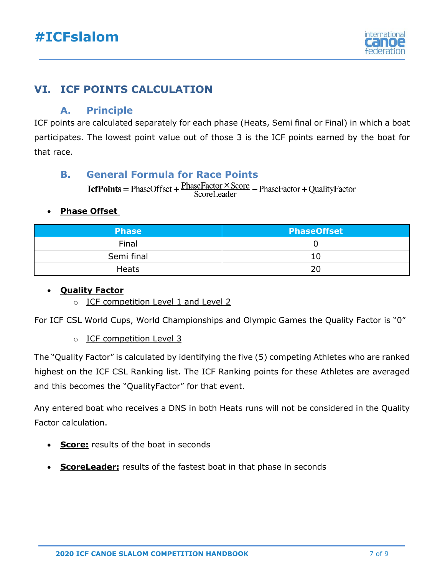

## <span id="page-6-0"></span>**VI. ICF POINTS CALCULATION**

#### **A. Principle**

ICF points are calculated separately for each phase (Heats, Semi final or Final) in which a boat participates. The lowest point value out of those 3 is the ICF points earned by the boat for that race.

#### **B. General Formula for Race Points**

**IcfPoints** = PhaseOffset +  $\frac{\text{PhaseFactor} \times \text{Score}}{\text{ScoreLeader}}$  – PhaseFactor + QualityFactor

#### • **Phase Offset**

| <b>Phase</b> | <b>PhaseOffset</b> |
|--------------|--------------------|
| Final        |                    |
| Semi final   | 10                 |
| <b>Heats</b> | 20                 |

#### • **Quality Factor**

o ICF competition Level 1 and Level 2

For ICF CSL World Cups, World Championships and Olympic Games the Quality Factor is "0"

o ICF competition Level 3

The "Quality Factor" is calculated by identifying the five (5) competing Athletes who are ranked highest on the ICF CSL Ranking list. The ICF Ranking points for these Athletes are averaged and this becomes the "QualityFactor" for that event.

Any entered boat who receives a DNS in both Heats runs will not be considered in the Quality Factor calculation.

- **Score:** results of the boat in seconds
- **ScoreLeader:** results of the fastest boat in that phase in seconds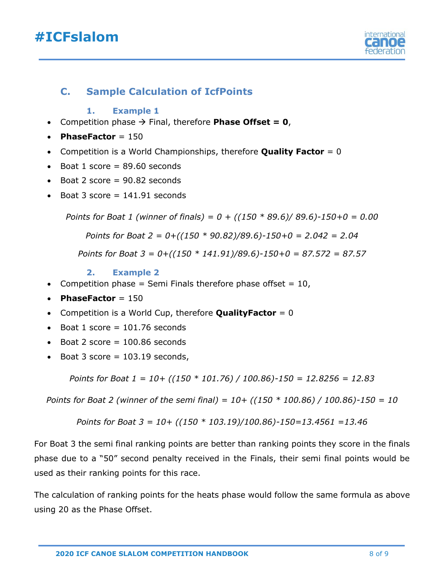## **#ICFslalom**



#### **C. Sample Calculation of IcfPoints**

#### **1. Example 1**

- Competition phase → Final, therefore **Phase Offset = 0**,
- **PhaseFactor** = 150
- Competition is a World Championships, therefore **Quality Factor** = 0
- Boat 1 score  $= 89.60$  seconds
- $\bullet$  Boat 2 score = 90.82 seconds
- Boat 3 score  $= 141.91$  seconds

*Points for Boat 1 (winner of finals) = 0 + ((150 \* 89.6)/ 89.6)-150+0 = 0.00*

*Points for Boat 2 = 0+((150 \* 90.82)/89.6)-150+0 = 2.042 = 2.04*

*Points for Boat 3 = 0+((150 \* 141.91)/89.6)-150+0 = 87.572 = 87.57* 

#### **2. Example 2**

- Competition phase = Semi Finals therefore phase offset =  $10$ ,
- **PhaseFactor** = 150
- Competition is a World Cup, therefore **QualityFactor** = 0
- Boat  $1$  score = 101.76 seconds
- Boat 2 score  $= 100.86$  seconds
- Boat 3 score  $= 103.19$  seconds,

*Points for Boat 1 = 10+ ((150 \* 101.76) / 100.86)-150 = 12.8256 = 12.83*

*Points for Boat 2 (winner of the semi final) = 10+ ((150 \* 100.86) / 100.86)-150 = 10*

Points for 
$$
Boat 3 = 10 + \frac{(150 * 103.19)}{100.86} - 150 = 13.4561 = 13.46
$$

For Boat 3 the semi final ranking points are better than ranking points they score in the finals phase due to a "50" second penalty received in the Finals, their semi final points would be used as their ranking points for this race.

The calculation of ranking points for the heats phase would follow the same formula as above using 20 as the Phase Offset.